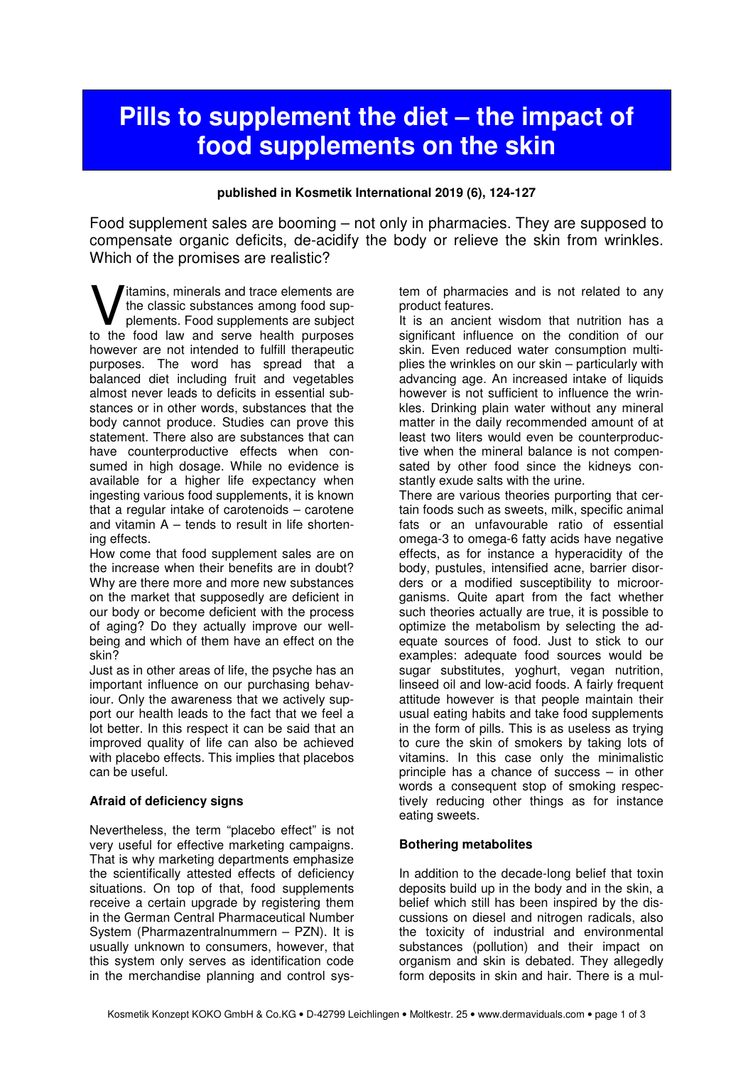# **Pills to supplement the diet – the impact of food supplements on the skin**

### **published in Kosmetik International 2019 (6), 124-127**

Food supplement sales are booming – not only in pharmacies. They are supposed to compensate organic deficits, de-acidify the body or relieve the skin from wrinkles. Which of the promises are realistic?

Itamins, minerals and trace elements are the classic substances among food supplements. Food supplements are subject **V** itamins, minerals and trace elements are the classic substances among food supplements. Food supplements are subject to the food law and serve health purposes however are not intended to fulfill therapeutic purposes. The word has spread that a balanced diet including fruit and vegetables almost never leads to deficits in essential substances or in other words, substances that the body cannot produce. Studies can prove this statement. There also are substances that can have counterproductive effects when consumed in high dosage. While no evidence is available for a higher life expectancy when ingesting various food supplements, it is known that a regular intake of carotenoids – carotene and vitamin  $A -$  tends to result in life shortening effects.

How come that food supplement sales are on the increase when their benefits are in doubt? Why are there more and more new substances on the market that supposedly are deficient in our body or become deficient with the process of aging? Do they actually improve our wellbeing and which of them have an effect on the skin?

Just as in other areas of life, the psyche has an important influence on our purchasing behaviour. Only the awareness that we actively support our health leads to the fact that we feel a lot better. In this respect it can be said that an improved quality of life can also be achieved with placebo effects. This implies that placebos can be useful.

## **Afraid of deficiency signs**

Nevertheless, the term "placebo effect" is not very useful for effective marketing campaigns. That is why marketing departments emphasize the scientifically attested effects of deficiency situations. On top of that, food supplements receive a certain upgrade by registering them in the German Central Pharmaceutical Number System (Pharmazentralnummern – PZN). It is usually unknown to consumers, however, that this system only serves as identification code in the merchandise planning and control system of pharmacies and is not related to any product features.

It is an ancient wisdom that nutrition has a significant influence on the condition of our skin. Even reduced water consumption multiplies the wrinkles on our skin – particularly with advancing age. An increased intake of liquids however is not sufficient to influence the wrinkles. Drinking plain water without any mineral matter in the daily recommended amount of at least two liters would even be counterproductive when the mineral balance is not compensated by other food since the kidneys constantly exude salts with the urine.

There are various theories purporting that certain foods such as sweets, milk, specific animal fats or an unfavourable ratio of essential omega-3 to omega-6 fatty acids have negative effects, as for instance a hyperacidity of the body, pustules, intensified acne, barrier disorders or a modified susceptibility to microorganisms. Quite apart from the fact whether such theories actually are true, it is possible to optimize the metabolism by selecting the adequate sources of food. Just to stick to our examples: adequate food sources would be sugar substitutes, yoghurt, vegan nutrition, linseed oil and low-acid foods. A fairly frequent attitude however is that people maintain their usual eating habits and take food supplements in the form of pills. This is as useless as trying to cure the skin of smokers by taking lots of vitamins. In this case only the minimalistic principle has a chance of success – in other words a consequent stop of smoking respectively reducing other things as for instance eating sweets.

## **Bothering metabolites**

In addition to the decade-long belief that toxin deposits build up in the body and in the skin, a belief which still has been inspired by the discussions on diesel and nitrogen radicals, also the toxicity of industrial and environmental substances (pollution) and their impact on organism and skin is debated. They allegedly form deposits in skin and hair. There is a mul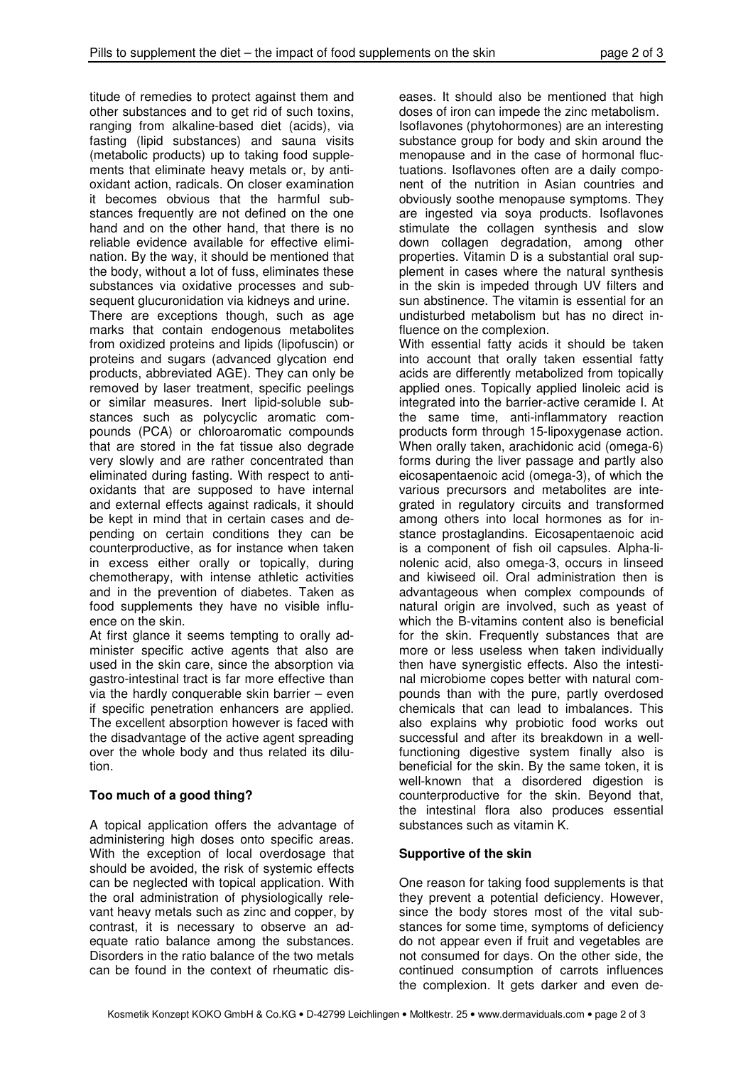titude of remedies to protect against them and other substances and to get rid of such toxins, ranging from alkaline-based diet (acids), via fasting (lipid substances) and sauna visits (metabolic products) up to taking food supplements that eliminate heavy metals or, by antioxidant action, radicals. On closer examination it becomes obvious that the harmful substances frequently are not defined on the one hand and on the other hand, that there is no reliable evidence available for effective elimination. By the way, it should be mentioned that the body, without a lot of fuss, eliminates these substances via oxidative processes and subsequent glucuronidation via kidneys and urine.

There are exceptions though, such as age marks that contain endogenous metabolites from oxidized proteins and lipids (lipofuscin) or proteins and sugars (advanced glycation end products, abbreviated AGE). They can only be removed by laser treatment, specific peelings or similar measures. Inert lipid-soluble substances such as polycyclic aromatic compounds (PCA) or chloroaromatic compounds that are stored in the fat tissue also degrade very slowly and are rather concentrated than eliminated during fasting. With respect to antioxidants that are supposed to have internal and external effects against radicals, it should be kept in mind that in certain cases and depending on certain conditions they can be counterproductive, as for instance when taken in excess either orally or topically, during chemotherapy, with intense athletic activities and in the prevention of diabetes. Taken as food supplements they have no visible influence on the skin.

At first glance it seems tempting to orally administer specific active agents that also are used in the skin care, since the absorption via gastro-intestinal tract is far more effective than via the hardly conquerable skin barrier – even if specific penetration enhancers are applied. The excellent absorption however is faced with the disadvantage of the active agent spreading over the whole body and thus related its dilution.

## **Too much of a good thing?**

A topical application offers the advantage of administering high doses onto specific areas. With the exception of local overdosage that should be avoided, the risk of systemic effects can be neglected with topical application. With the oral administration of physiologically relevant heavy metals such as zinc and copper, by contrast, it is necessary to observe an adequate ratio balance among the substances. Disorders in the ratio balance of the two metals can be found in the context of rheumatic dis-

eases. It should also be mentioned that high doses of iron can impede the zinc metabolism. Isoflavones (phytohormones) are an interesting substance group for body and skin around the menopause and in the case of hormonal fluctuations. Isoflavones often are a daily component of the nutrition in Asian countries and obviously soothe menopause symptoms. They are ingested via soya products. Isoflavones stimulate the collagen synthesis and slow down collagen degradation, among other properties. Vitamin D is a substantial oral supplement in cases where the natural synthesis in the skin is impeded through UV filters and sun abstinence. The vitamin is essential for an undisturbed metabolism but has no direct influence on the complexion.

With essential fatty acids it should be taken into account that orally taken essential fatty acids are differently metabolized from topically applied ones. Topically applied linoleic acid is integrated into the barrier-active ceramide I. At the same time, anti-inflammatory reaction products form through 15-lipoxygenase action. When orally taken, arachidonic acid (omega-6) forms during the liver passage and partly also eicosapentaenoic acid (omega-3), of which the various precursors and metabolites are integrated in regulatory circuits and transformed among others into local hormones as for instance prostaglandins. Eicosapentaenoic acid is a component of fish oil capsules. Alpha-linolenic acid, also omega-3, occurs in linseed and kiwiseed oil. Oral administration then is advantageous when complex compounds of natural origin are involved, such as yeast of which the B-vitamins content also is beneficial for the skin. Frequently substances that are more or less useless when taken individually then have synergistic effects. Also the intestinal microbiome copes better with natural compounds than with the pure, partly overdosed chemicals that can lead to imbalances. This also explains why probiotic food works out successful and after its breakdown in a wellfunctioning digestive system finally also is beneficial for the skin. By the same token, it is well-known that a disordered digestion is counterproductive for the skin. Beyond that, the intestinal flora also produces essential substances such as vitamin K.

## **Supportive of the skin**

One reason for taking food supplements is that they prevent a potential deficiency. However, since the body stores most of the vital substances for some time, symptoms of deficiency do not appear even if fruit and vegetables are not consumed for days. On the other side, the continued consumption of carrots influences the complexion. It gets darker and even de